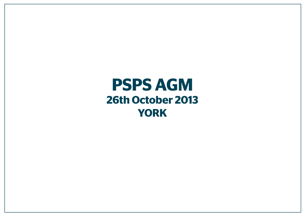#### **PSPS AGM 26th October 2013 YORK**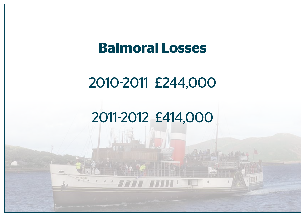#### **Balmoral Losses**

### 2010-2011 £244,000

### 2011-2012 £414,000

**FTTTT** 

**ATM**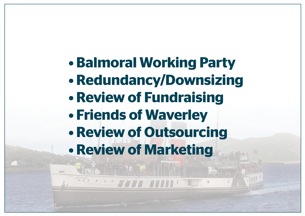## **• Balmoral Working Party**

- **Redundancy/Downsizing**
- **Review of Fundraising**
- **Friends of Waverley**
- **Review of Outsourcing**
- **Review of Marketing**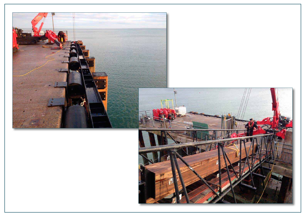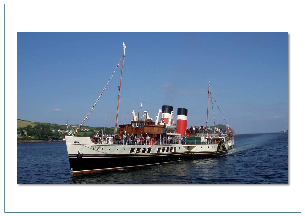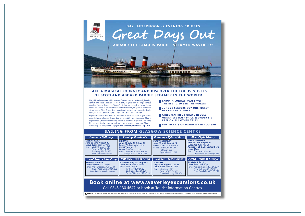

**Book online at www.waverleyexcursions.co.uk**

Call 0845 130 4647 or book at Tourist Information Centres

Gift Aid it! If you are a UK taxpayer then the Charity can claim an extra 25% from the Taxman. WSN Co Ltd, Glasgow G3 8HA. SCO05832. All fares include a voluntary 10% donation. Parking available at Science Centre £3 per da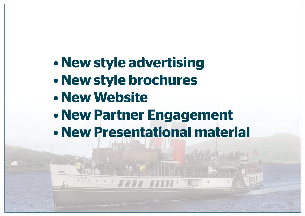- **New style advertising**
- **New style brochures**
- **New Website**
- **New Partner Engagement**
- **New Presentational material**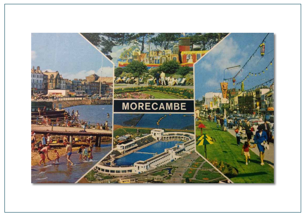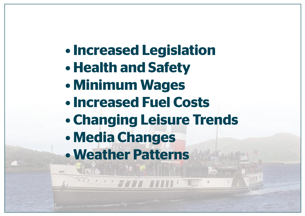## **• Increased Legislation**

- **Health and Safety**
- **Minimum Wages**
- **Increased Fuel Costs**
- **Changing Leisure Trends**
- **Media Changes**
- **Weather Patterns**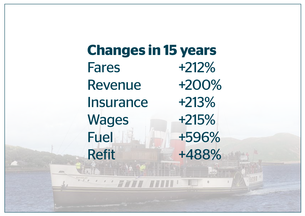# **Changes in 15 years** Fares +212% Revenue +200% Insurance +213% Wages +215% Fuel +596% Refit +488%

**MANITE** 

**FITTI**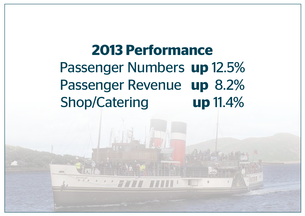## **2013 Performance** Passenger Numbers **up** 12.5%

Passenger Revenue **up** 8.2% Shop/Catering **up** 11.4%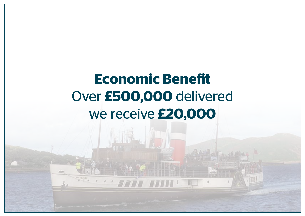## **Economic Benefit** Over **£500,000** delivered we receive **£20,000**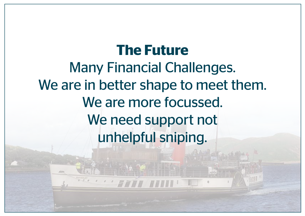### **The Future**

Many Financial Challenges. We are in better shape to meet them. We are more focussed. We need support not unhelpful sniping.